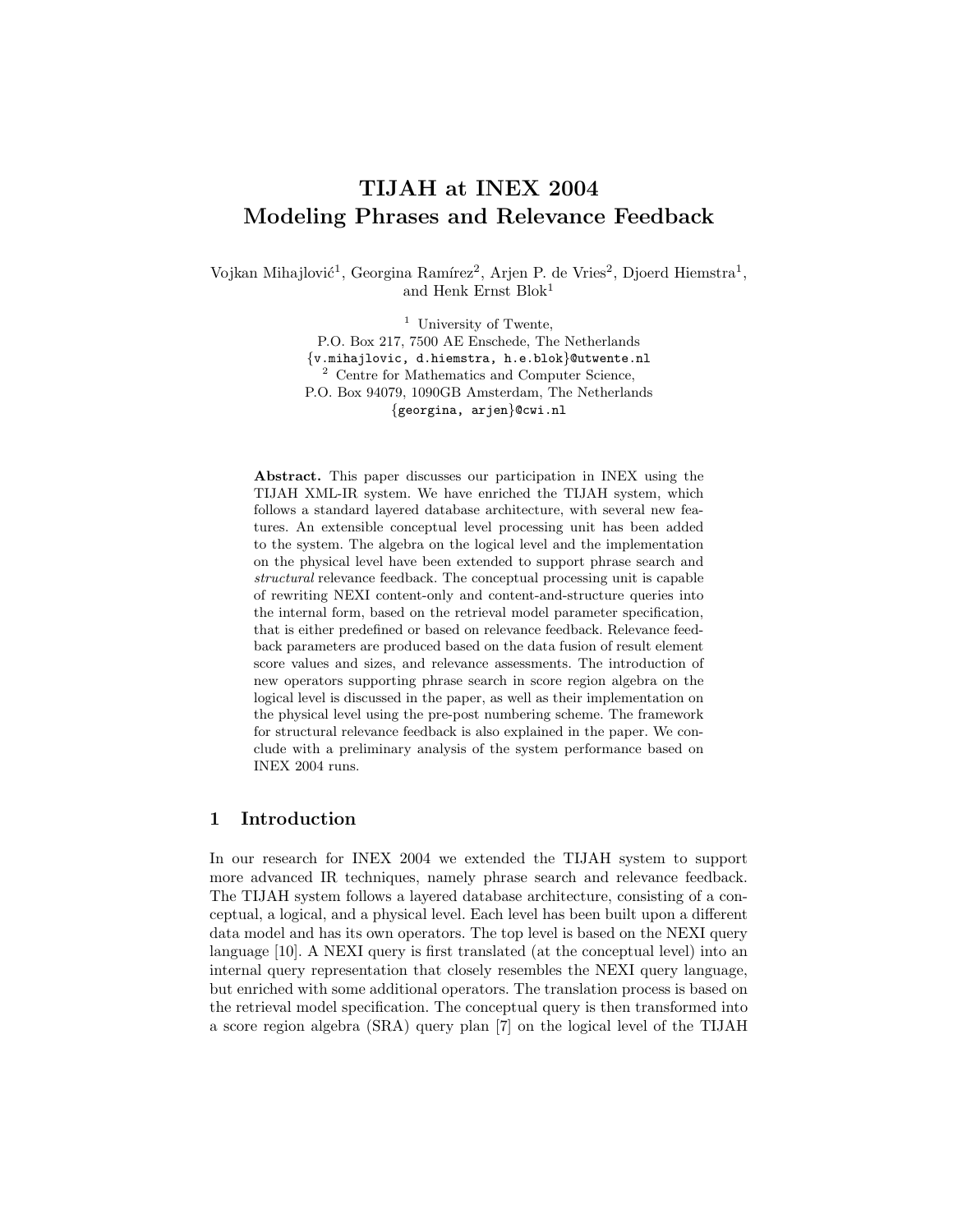# TIJAH at INEX 2004 Modeling Phrases and Relevance Feedback

Vojkan Mihajlović<sup>1</sup>, Georgina Ramírez<sup>2</sup>, Arjen P. de Vries<sup>2</sup>, Djoerd Hiemstra<sup>1</sup>, and Henk Ernst Blok<sup>1</sup>

<sup>1</sup> University of Twente,

P.O. Box 217, 7500 AE Enschede, The Netherlands {v.mihajlovic, d.hiemstra, h.e.blok}@utwente.nl <sup>2</sup> Centre for Mathematics and Computer Science, P.O. Box 94079, 1090GB Amsterdam, The Netherlands {georgina, arjen}@cwi.nl

Abstract. This paper discusses our participation in INEX using the TIJAH XML-IR system. We have enriched the TIJAH system, which follows a standard layered database architecture, with several new features. An extensible conceptual level processing unit has been added to the system. The algebra on the logical level and the implementation on the physical level have been extended to support phrase search and structural relevance feedback. The conceptual processing unit is capable of rewriting NEXI content-only and content-and-structure queries into the internal form, based on the retrieval model parameter specification, that is either predefined or based on relevance feedback. Relevance feedback parameters are produced based on the data fusion of result element score values and sizes, and relevance assessments. The introduction of new operators supporting phrase search in score region algebra on the logical level is discussed in the paper, as well as their implementation on the physical level using the pre-post numbering scheme. The framework for structural relevance feedback is also explained in the paper. We conclude with a preliminary analysis of the system performance based on INEX 2004 runs.

# 1 Introduction

In our research for INEX 2004 we extended the TIJAH system to support more advanced IR techniques, namely phrase search and relevance feedback. The TIJAH system follows a layered database architecture, consisting of a conceptual, a logical, and a physical level. Each level has been built upon a different data model and has its own operators. The top level is based on the NEXI query language [10]. A NEXI query is first translated (at the conceptual level) into an internal query representation that closely resembles the NEXI query language, but enriched with some additional operators. The translation process is based on the retrieval model specification. The conceptual query is then transformed into a score region algebra (SRA) query plan [7] on the logical level of the TIJAH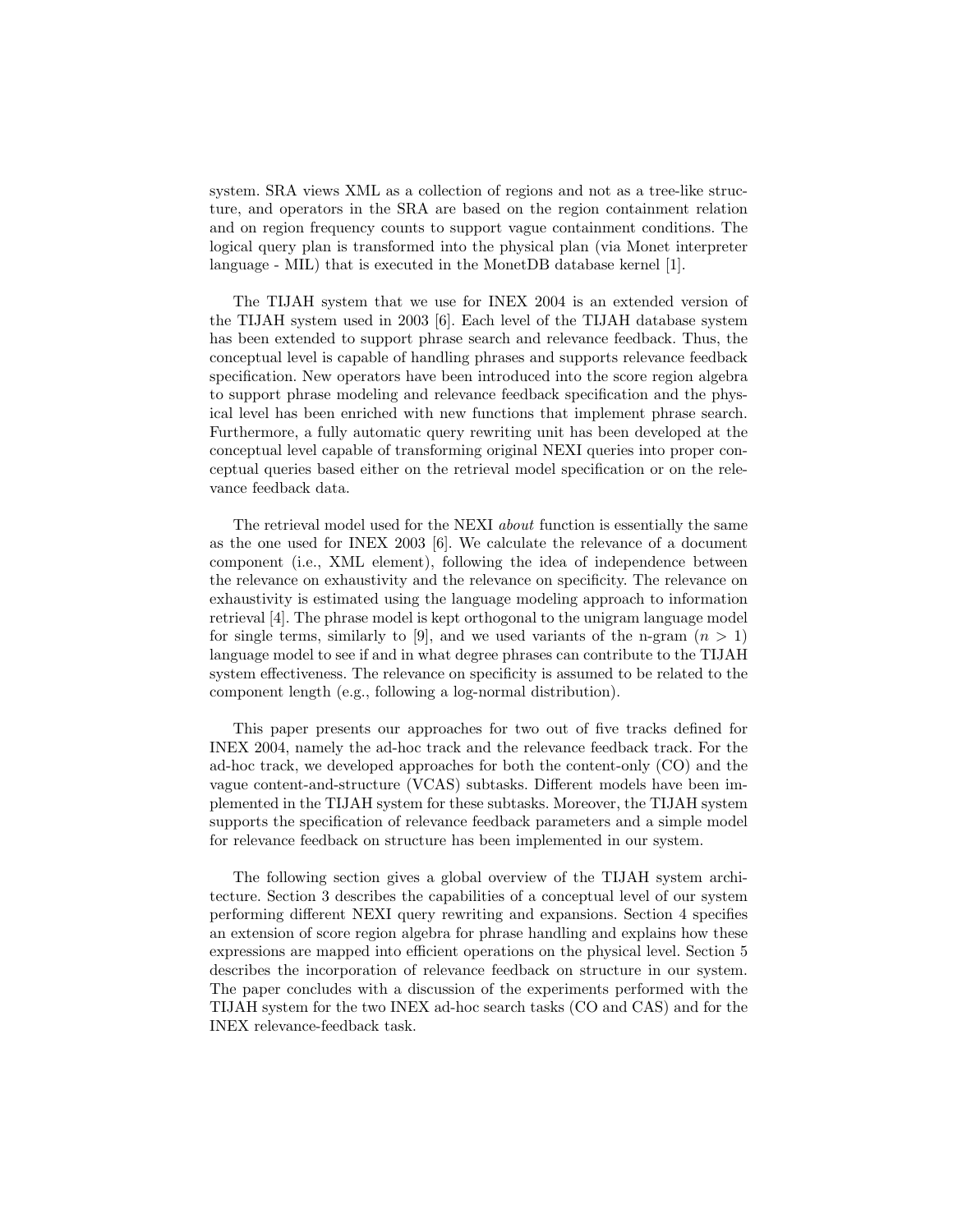system. SRA views XML as a collection of regions and not as a tree-like structure, and operators in the SRA are based on the region containment relation and on region frequency counts to support vague containment conditions. The logical query plan is transformed into the physical plan (via Monet interpreter language - MIL) that is executed in the MonetDB database kernel [1].

The TIJAH system that we use for INEX 2004 is an extended version of the TIJAH system used in 2003 [6]. Each level of the TIJAH database system has been extended to support phrase search and relevance feedback. Thus, the conceptual level is capable of handling phrases and supports relevance feedback specification. New operators have been introduced into the score region algebra to support phrase modeling and relevance feedback specification and the physical level has been enriched with new functions that implement phrase search. Furthermore, a fully automatic query rewriting unit has been developed at the conceptual level capable of transforming original NEXI queries into proper conceptual queries based either on the retrieval model specification or on the relevance feedback data.

The retrieval model used for the NEXI about function is essentially the same as the one used for INEX 2003 [6]. We calculate the relevance of a document component (i.e., XML element), following the idea of independence between the relevance on exhaustivity and the relevance on specificity. The relevance on exhaustivity is estimated using the language modeling approach to information retrieval [4]. The phrase model is kept orthogonal to the unigram language model for single terms, similarly to [9], and we used variants of the n-gram  $(n > 1)$ language model to see if and in what degree phrases can contribute to the TIJAH system effectiveness. The relevance on specificity is assumed to be related to the component length (e.g., following a log-normal distribution).

This paper presents our approaches for two out of five tracks defined for INEX 2004, namely the ad-hoc track and the relevance feedback track. For the ad-hoc track, we developed approaches for both the content-only (CO) and the vague content-and-structure (VCAS) subtasks. Different models have been implemented in the TIJAH system for these subtasks. Moreover, the TIJAH system supports the specification of relevance feedback parameters and a simple model for relevance feedback on structure has been implemented in our system.

The following section gives a global overview of the TIJAH system architecture. Section 3 describes the capabilities of a conceptual level of our system performing different NEXI query rewriting and expansions. Section 4 specifies an extension of score region algebra for phrase handling and explains how these expressions are mapped into efficient operations on the physical level. Section 5 describes the incorporation of relevance feedback on structure in our system. The paper concludes with a discussion of the experiments performed with the TIJAH system for the two INEX ad-hoc search tasks (CO and CAS) and for the INEX relevance-feedback task.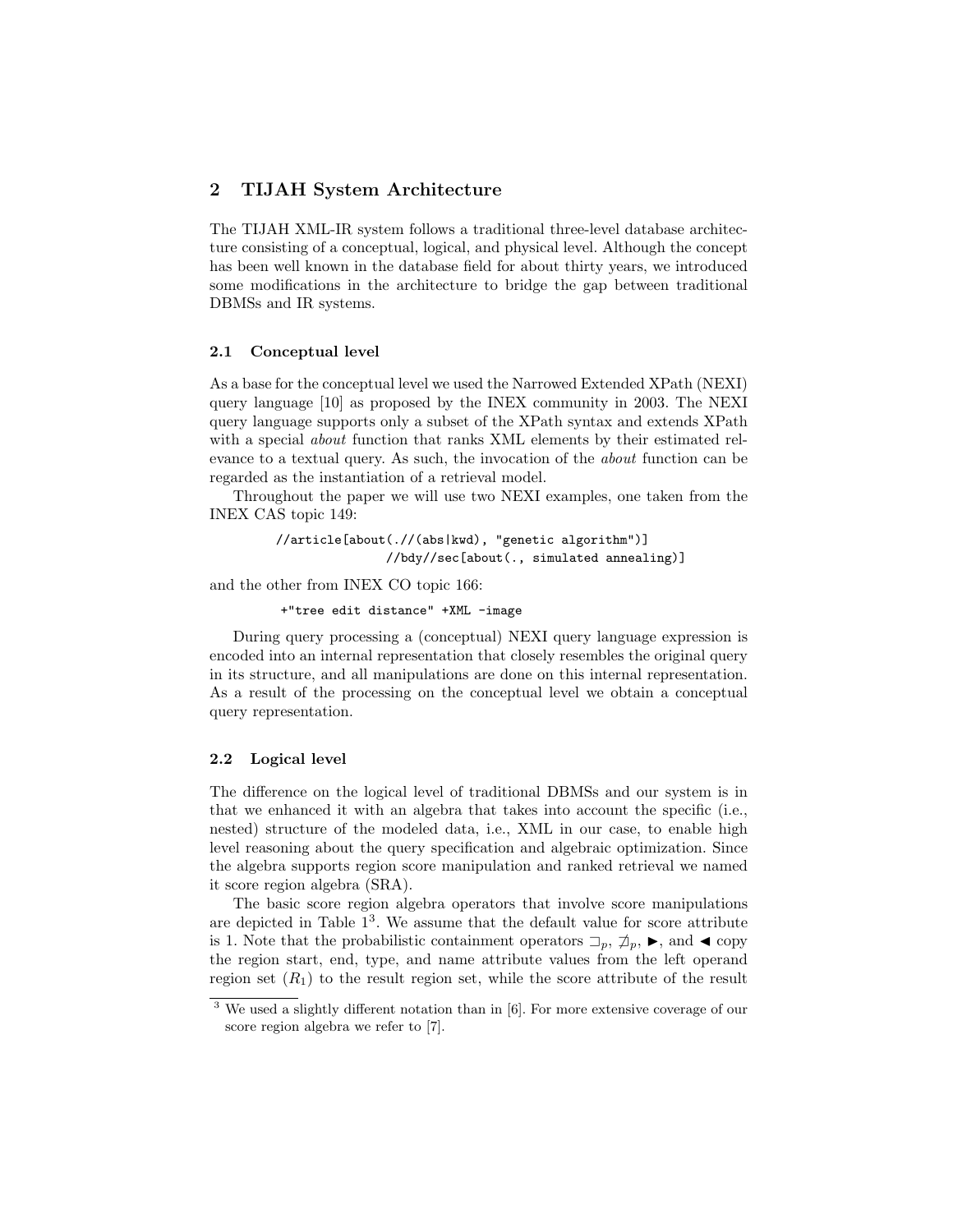# 2 TIJAH System Architecture

The TIJAH XML-IR system follows a traditional three-level database architecture consisting of a conceptual, logical, and physical level. Although the concept has been well known in the database field for about thirty years, we introduced some modifications in the architecture to bridge the gap between traditional DBMSs and IR systems.

#### 2.1 Conceptual level

As a base for the conceptual level we used the Narrowed Extended XPath (NEXI) query language [10] as proposed by the INEX community in 2003. The NEXI query language supports only a subset of the XPath syntax and extends XPath with a special *about* function that ranks XML elements by their estimated relevance to a textual query. As such, the invocation of the about function can be regarded as the instantiation of a retrieval model.

Throughout the paper we will use two NEXI examples, one taken from the INEX CAS topic 149:

> //article[about(.//(abs|kwd), "genetic algorithm")] //bdy//sec[about(., simulated annealing)]

and the other from INEX CO topic 166:

```
+"tree edit distance" +XML -image
```
During query processing a (conceptual) NEXI query language expression is encoded into an internal representation that closely resembles the original query in its structure, and all manipulations are done on this internal representation. As a result of the processing on the conceptual level we obtain a conceptual query representation.

#### 2.2 Logical level

The difference on the logical level of traditional DBMSs and our system is in that we enhanced it with an algebra that takes into account the specific (i.e., nested) structure of the modeled data, i.e., XML in our case, to enable high level reasoning about the query specification and algebraic optimization. Since the algebra supports region score manipulation and ranked retrieval we named it score region algebra (SRA).

The basic score region algebra operators that involve score manipulations are depicted in Table  $1<sup>3</sup>$ . We assume that the default value for score attribute is 1. Note that the probabilistic containment operators  $\Box_p$ ,  $\Box_p$ ,  $\blacktriangleright$ , and  $\blacktriangleleft$  copy the region start, end, type, and name attribute values from the left operand region set  $(R_1)$  to the result region set, while the score attribute of the result

<sup>3</sup> We used a slightly different notation than in [6]. For more extensive coverage of our score region algebra we refer to [7].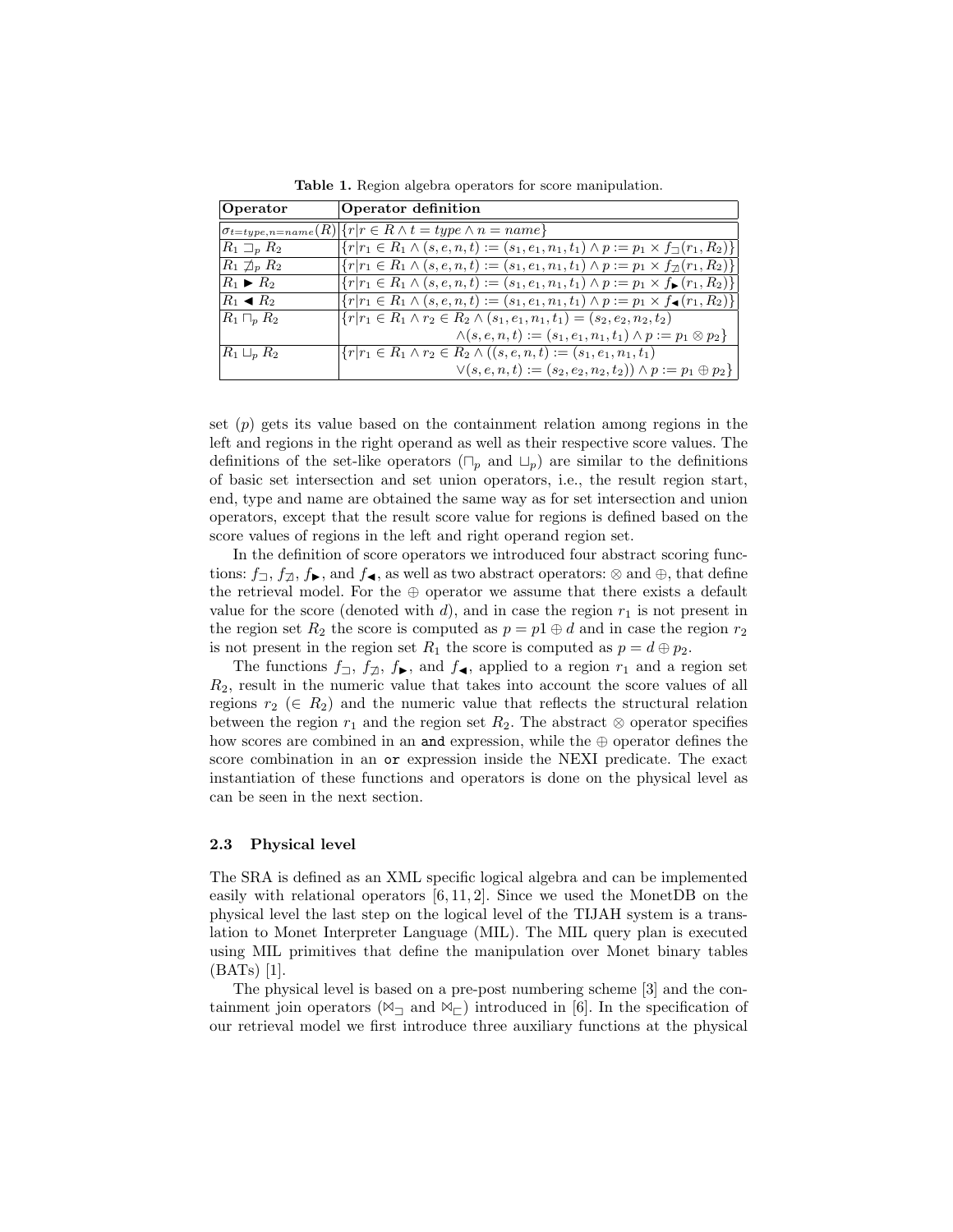| Operator                      | Operator definition                                                                                                       |
|-------------------------------|---------------------------------------------------------------------------------------------------------------------------|
|                               | $\sigma_{t = type, n = name}(R)   \{r   r \in R \land t = type \land n = name\}$                                          |
| $R_1 \sqsupset_R R_2$         | $\{r r_1 \in R_1 \land (s, e, n, t) := (s_1, e_1, n_1, t_1) \land p := p_1 \times f_{\square}(r_1, R_2)\}\$               |
| $R_1 \not\supseteq_p R_2$     | $\{r r_1 \in R_1 \land (s, e, n, t) := (s_1, e_1, n_1, t_1) \land p := p_1 \times f_{\mathcal{D}}(r_1, R_2)\}\$           |
| $R_1 \blacktriangleright R_2$ | $\{r r_1 \in R_1 \wedge (s, e, n, t) := (s_1, e_1, n_1, t_1) \wedge p := p_1 \times f_{\blacktriangleright}(r_1, R_2)\}\$ |
| $R_1 \triangleleft R_2$       | $\{r r_1 \in R_1 \land (s, e, n, t) := (s_1, e_1, n_1, t_1) \land p := p_1 \times f_{\blacktriangleleft}(r_1, R_2)\}\$    |
| $R_1\sqcap_{p} R_2$           | $\{r r_1 \in R_1 \wedge r_2 \in R_2 \wedge (s_1, e_1, n_1, t_1) = (s_2, e_2, n_2, t_2)\}$                                 |
|                               | $\wedge (s, e, n, t) := (s_1, e_1, n_1, t_1) \wedge p := p_1 \otimes p_2\}$                                               |
| $R_1 \sqcup_n R_2$            | $\{r r_1 \in R_1 \land r_2 \in R_2 \land ((s, e, n, t) := (s_1, e_1, n_1, t_1))\}$                                        |
|                               | $\vee (s, e, n, t) := (s_2, e_2, n_2, t_2)) \wedge p := p_1 \oplus p_2$                                                   |

Table 1. Region algebra operators for score manipulation.

set  $(p)$  gets its value based on the containment relation among regions in the left and regions in the right operand as well as their respective score values. The definitions of the set-like operators  $(\Box_p$  and  $\Box_p)$  are similar to the definitions of basic set intersection and set union operators, i.e., the result region start, end, type and name are obtained the same way as for set intersection and union operators, except that the result score value for regions is defined based on the score values of regions in the left and right operand region set.

In the definition of score operators we introduced four abstract scoring functions:  $f_\Box$ ,  $f_\mathcal{A}$ ,  $f_\bullet$ , and  $f_\bullet$ , as well as two abstract operators: ⊗ and ⊕, that define the retrieval model. For the ⊕ operator we assume that there exists a default value for the score (denoted with d), and in case the region  $r_1$  is not present in the region set  $R_2$  the score is computed as  $p = p1 \oplus d$  and in case the region  $r_2$ is not present in the region set  $R_1$  the score is computed as  $p = d \oplus p_2$ .

The functions  $f_{\square}$ ,  $f_{\square}$ ,  $f_{\square}$ , and  $f_{\square}$ , applied to a region  $r_1$  and a region set  $R<sub>2</sub>$ , result in the numeric value that takes into account the score values of all regions  $r_2 \in R_2$ ) and the numeric value that reflects the structural relation between the region  $r_1$  and the region set  $R_2$ . The abstract ⊗ operator specifies how scores are combined in an and expression, while the  $\oplus$  operator defines the score combination in an or expression inside the NEXI predicate. The exact instantiation of these functions and operators is done on the physical level as can be seen in the next section.

### 2.3 Physical level

The SRA is defined as an XML specific logical algebra and can be implemented easily with relational operators [6, 11, 2]. Since we used the MonetDB on the physical level the last step on the logical level of the TIJAH system is a translation to Monet Interpreter Language (MIL). The MIL query plan is executed using MIL primitives that define the manipulation over Monet binary tables (BATs) [1].

The physical level is based on a pre-post numbering scheme [3] and the containment join operators ( $\mathbb{M}_{\square}$  and  $\mathbb{M}_{\square}$ ) introduced in [6]. In the specification of our retrieval model we first introduce three auxiliary functions at the physical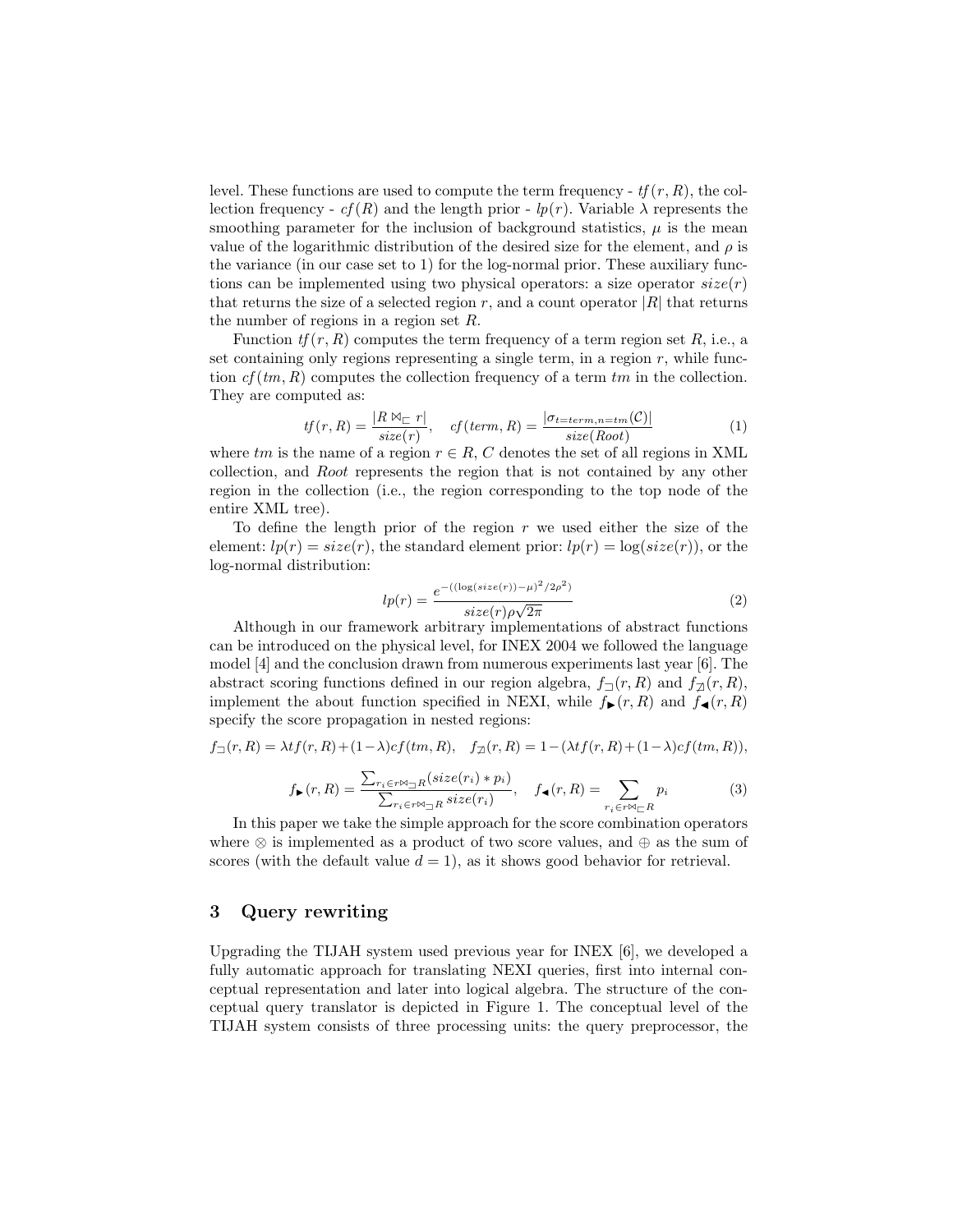level. These functions are used to compute the term frequency -  $tf(r, R)$ , the collection frequency -  $cf(R)$  and the length prior -  $lp(r)$ . Variable  $\lambda$  represents the smoothing parameter for the inclusion of background statistics,  $\mu$  is the mean value of the logarithmic distribution of the desired size for the element, and  $\rho$  is the variance (in our case set to 1) for the log-normal prior. These auxiliary functions can be implemented using two physical operators: a size operator  $size(r)$ that returns the size of a selected region r, and a count operator  $|R|$  that returns the number of regions in a region set R.

Function  $tf(r, R)$  computes the term frequency of a term region set R, i.e., a set containing only regions representing a single term, in a region  $r$ , while function  $cf$  (tm, R) computes the collection frequency of a term tm in the collection. They are computed as:

$$
tf(r,R) = \frac{|R \bowtie_{\sqsubset} r|}{size(r)}, \quad cf(term, R) = \frac{|\sigma_{t=term,n=tm}(\mathcal{C})|}{size(Root)}
$$
(1)

where  $tm$  is the name of a region  $r \in R$ , C denotes the set of all regions in XML collection, and Root represents the region that is not contained by any other region in the collection (i.e., the region corresponding to the top node of the entire XML tree).

To define the length prior of the region  $r$  we used either the size of the element:  $lp(r) = size(r)$ , the standard element prior:  $lp(r) = log(size(r))$ , or the log-normal distribution:

$$
lp(r) = \frac{e^{-((\log(size(r)) - \mu)^2/2\rho^2)}}{size(r)\rho\sqrt{2\pi}}
$$
\n(2)

Although in our framework arbitrary implementations of abstract functions can be introduced on the physical level, for INEX 2004 we followed the language model [4] and the conclusion drawn from numerous experiments last year [6]. The abstract scoring functions defined in our region algebra,  $f_{\Box}(r, R)$  and  $f_{\Box}(r, R)$ , implement the about function specified in NEXI, while  $f_{\blacktriangleright}(r, R)$  and  $f_{\blacktriangle}(r, R)$ specify the score propagation in nested regions:

$$
f_{\square}(r,R)=\lambda tf(r,R)+(1-\lambda)cf(tm,R),\quad f_{\square}(r,R)=1-(\lambda tf(r,R)+(1-\lambda)cf(tm,R)),
$$

$$
f_{\blacktriangleright}(r,R) = \frac{\sum_{r_i \in r \bowtie \underline{\neg}R} (size(r_i) * p_i)}{\sum_{r_i \in r \bowtie \underline{\neg}R} size(r_i)}, \quad f_{\blacktriangleleft}(r,R) = \sum_{r_i \in r \bowtie \underline{\neg}R} p_i
$$
(3)

In this paper we take the simple approach for the score combination operators where  $\otimes$  is implemented as a product of two score values, and  $\oplus$  as the sum of scores (with the default value  $d = 1$ ), as it shows good behavior for retrieval.

# 3 Query rewriting

Upgrading the TIJAH system used previous year for INEX [6], we developed a fully automatic approach for translating NEXI queries, first into internal conceptual representation and later into logical algebra. The structure of the conceptual query translator is depicted in Figure 1. The conceptual level of the TIJAH system consists of three processing units: the query preprocessor, the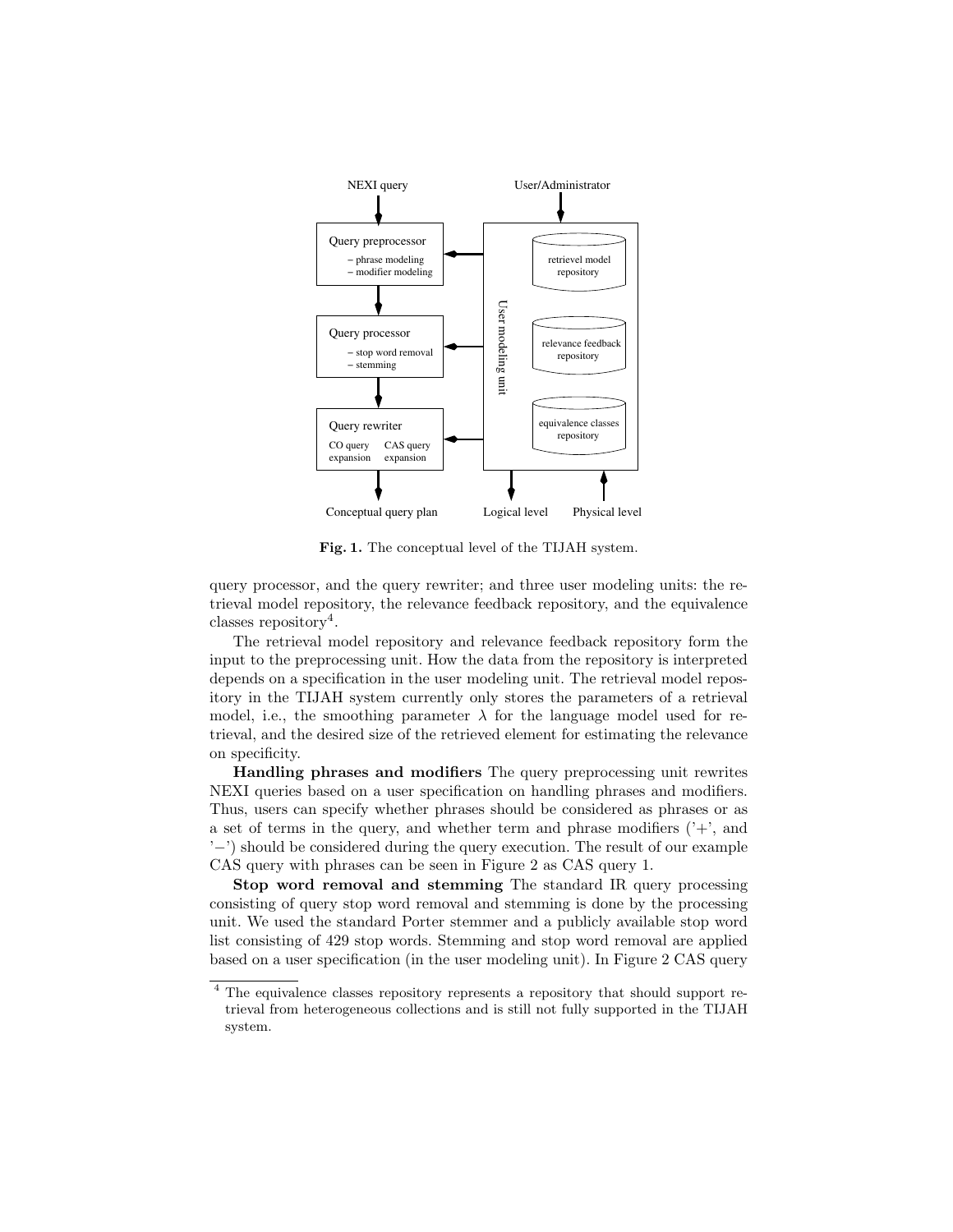

Fig. 1. The conceptual level of the TIJAH system.

query processor, and the query rewriter; and three user modeling units: the retrieval model repository, the relevance feedback repository, and the equivalence classes repository<sup>4</sup>.

The retrieval model repository and relevance feedback repository form the input to the preprocessing unit. How the data from the repository is interpreted depends on a specification in the user modeling unit. The retrieval model repository in the TIJAH system currently only stores the parameters of a retrieval model, i.e., the smoothing parameter  $\lambda$  for the language model used for retrieval, and the desired size of the retrieved element for estimating the relevance on specificity.

Handling phrases and modifiers The query preprocessing unit rewrites NEXI queries based on a user specification on handling phrases and modifiers. Thus, users can specify whether phrases should be considered as phrases or as a set of terms in the query, and whether term and phrase modifiers  $('+'$ , and '−') should be considered during the query execution. The result of our example CAS query with phrases can be seen in Figure 2 as CAS query 1.

Stop word removal and stemming The standard IR query processing consisting of query stop word removal and stemming is done by the processing unit. We used the standard Porter stemmer and a publicly available stop word list consisting of 429 stop words. Stemming and stop word removal are applied based on a user specification (in the user modeling unit). In Figure 2 CAS query

<sup>4</sup> The equivalence classes repository represents a repository that should support retrieval from heterogeneous collections and is still not fully supported in the TIJAH system.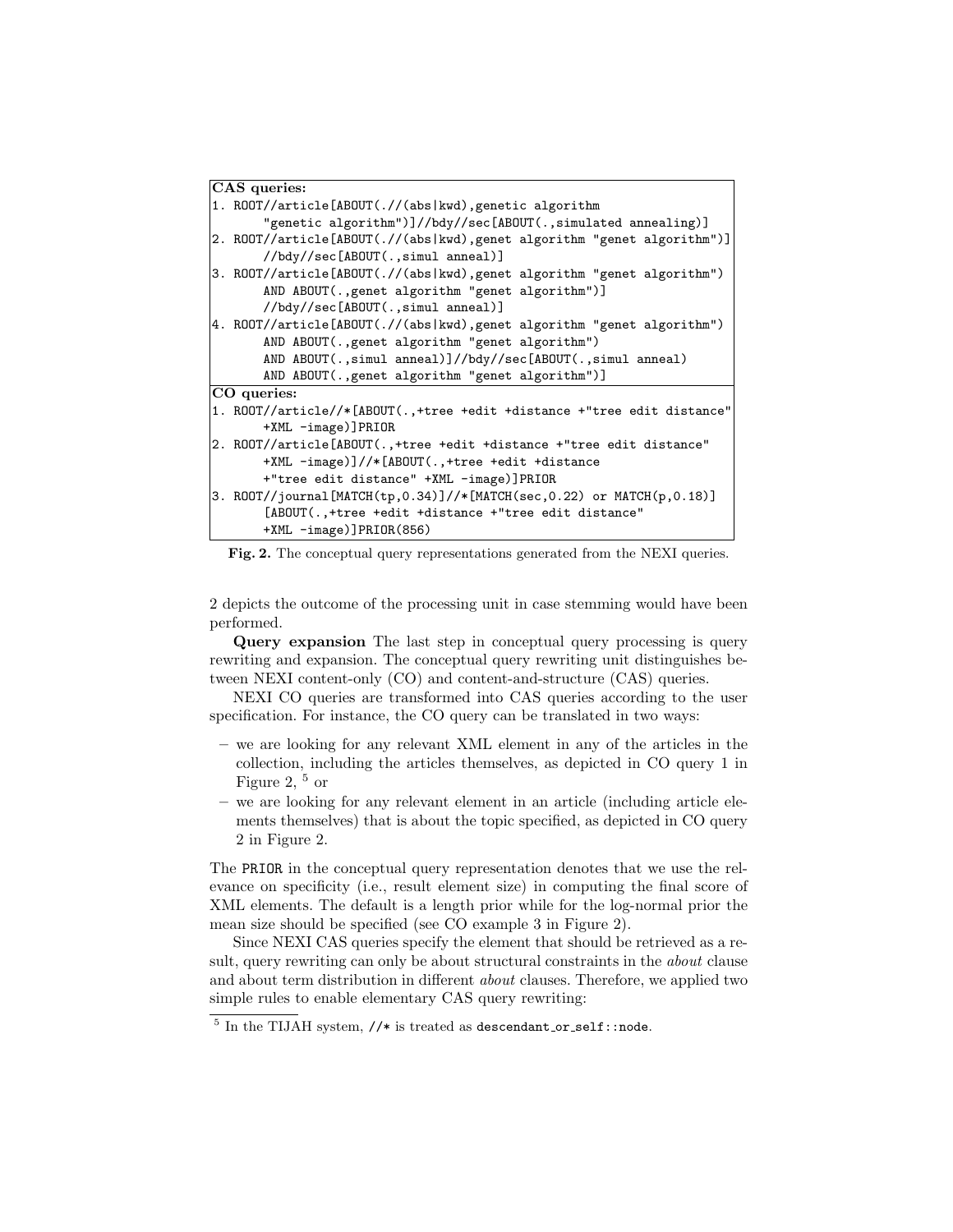

Fig. 2. The conceptual query representations generated from the NEXI queries.

2 depicts the outcome of the processing unit in case stemming would have been performed.

Query expansion The last step in conceptual query processing is query rewriting and expansion. The conceptual query rewriting unit distinguishes between NEXI content-only (CO) and content-and-structure (CAS) queries.

NEXI CO queries are transformed into CAS queries according to the user specification. For instance, the CO query can be translated in two ways:

- we are looking for any relevant XML element in any of the articles in the collection, including the articles themselves, as depicted in CO query 1 in Figure 2,  $5 \text{ or}$
- we are looking for any relevant element in an article (including article elements themselves) that is about the topic specified, as depicted in CO query 2 in Figure 2.

The PRIOR in the conceptual query representation denotes that we use the relevance on specificity (i.e., result element size) in computing the final score of XML elements. The default is a length prior while for the log-normal prior the mean size should be specified (see CO example 3 in Figure 2).

Since NEXI CAS queries specify the element that should be retrieved as a result, query rewriting can only be about structural constraints in the about clause and about term distribution in different about clauses. Therefore, we applied two simple rules to enable elementary CAS query rewriting:

 $^5$  In the TIJAH system,  $//*$  is treated as descendant or self::node.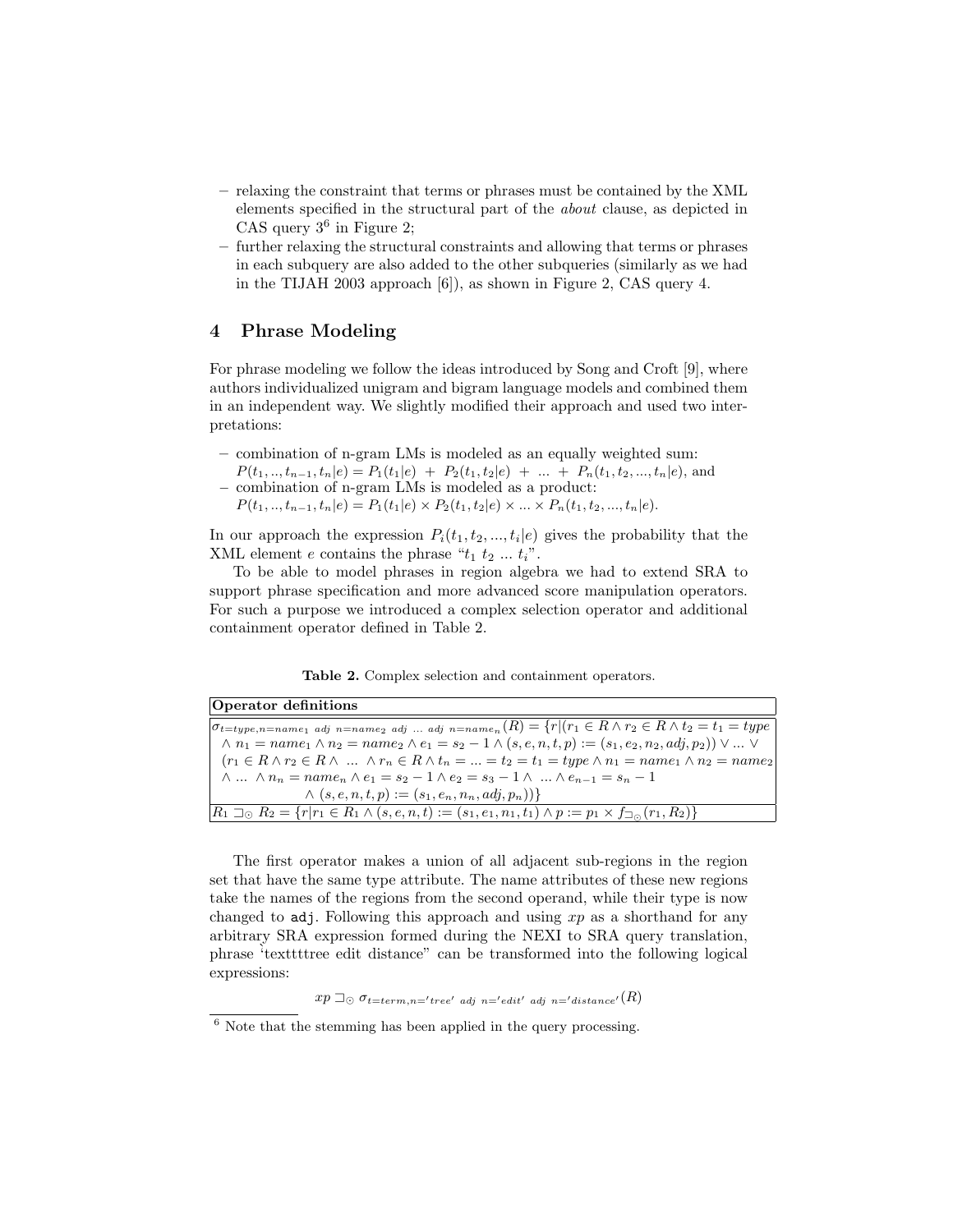- relaxing the constraint that terms or phrases must be contained by the XML elements specified in the structural part of the about clause, as depicted in CAS query  $3^6$  in Figure 2;
- further relaxing the structural constraints and allowing that terms or phrases in each subquery are also added to the other subqueries (similarly as we had in the TIJAH 2003 approach [6]), as shown in Figure 2, CAS query 4.

# 4 Phrase Modeling

For phrase modeling we follow the ideas introduced by Song and Croft [9], where authors individualized unigram and bigram language models and combined them in an independent way. We slightly modified their approach and used two interpretations:

- combination of n-gram LMs is modeled as an equally weighted sum:
- $P(t_1, ..., t_{n-1}, t_n | e) = P_1(t_1 | e) + P_2(t_1, t_2 | e) + ... + P_n(t_1, t_2, ..., t_n | e)$ , and – combination of n-gram LMs is modeled as a product:  $P(t_1, ..., t_{n-1}, t_n|e) = P_1(t_1|e) \times P_2(t_1, t_2|e) \times ... \times P_n(t_1, t_2, ..., t_n|e).$

In our approach the expression  $P_i(t_1, t_2, ..., t_i | e)$  gives the probability that the XML element e contains the phrase " $t_1$   $t_2$  ...  $t_i$ ".

To be able to model phrases in region algebra we had to extend SRA to support phrase specification and more advanced score manipulation operators. For such a purpose we introduced a complex selection operator and additional containment operator defined in Table 2.

| Table 2. Complex selection and containment operators. |  |
|-------------------------------------------------------|--|
|-------------------------------------------------------|--|

| $\sigma_{t-type,n=name_1}$ adj n=name <sub>2</sub> adj  adj n=name <sub>n</sub> $(R) = \{r   (r_1 \in R \land r_2 \in R \land t_2 = t_1 = type$ |
|-------------------------------------------------------------------------------------------------------------------------------------------------|
|                                                                                                                                                 |
| $\wedge n_1 = name_1 \wedge n_2 = name_2 \wedge e_1 = s_2 - 1 \wedge (s, e, n, t, p) := (s_1, e_2, n_2, adj, p_2) \vee  \vee$                   |
| $(r_1 \in R \wedge r_2 \in R \wedge  \wedge r_n \in R \wedge t_n =  = t_2 = t_1 = type \wedge n_1 = name_1 \wedge n_2 = name_2$                 |
| $\wedge  \wedge n_n = name_n \wedge e_1 = s_2 - 1 \wedge e_2 = s_3 - 1 \wedge  \wedge e_{n-1} = s_n - 1$                                        |
| $\wedge (s, e, n, t, p) := (s_1, e_n, n_n, adj, p_n))$                                                                                          |
| $ R_1 \supseteq_{\odot} R_2 = \{r   r_1 \in R_1 \land (s, e, n, t) := (s_1, e_1, n_1, t_1) \land p := p_1 \times f_{\Box_{\odot}}(r_1, R_2)\}\$ |

The first operator makes a union of all adjacent sub-regions in the region set that have the same type attribute. The name attributes of these new regions take the names of the regions from the second operand, while their type is now changed to adj. Following this approach and using  $xp$  as a shorthand for any arbitrary SRA expression formed during the NEXI to SRA query translation, phrase `'texttttree edit distance" can be transformed into the following logical expressions:

 $xp \sqsupseteq_{\odot} \sigma_{t=term, n=tree' \ adj}$  n='edit' adj n='distance' $(R)$ 

 $6$  Note that the stemming has been applied in the query processing.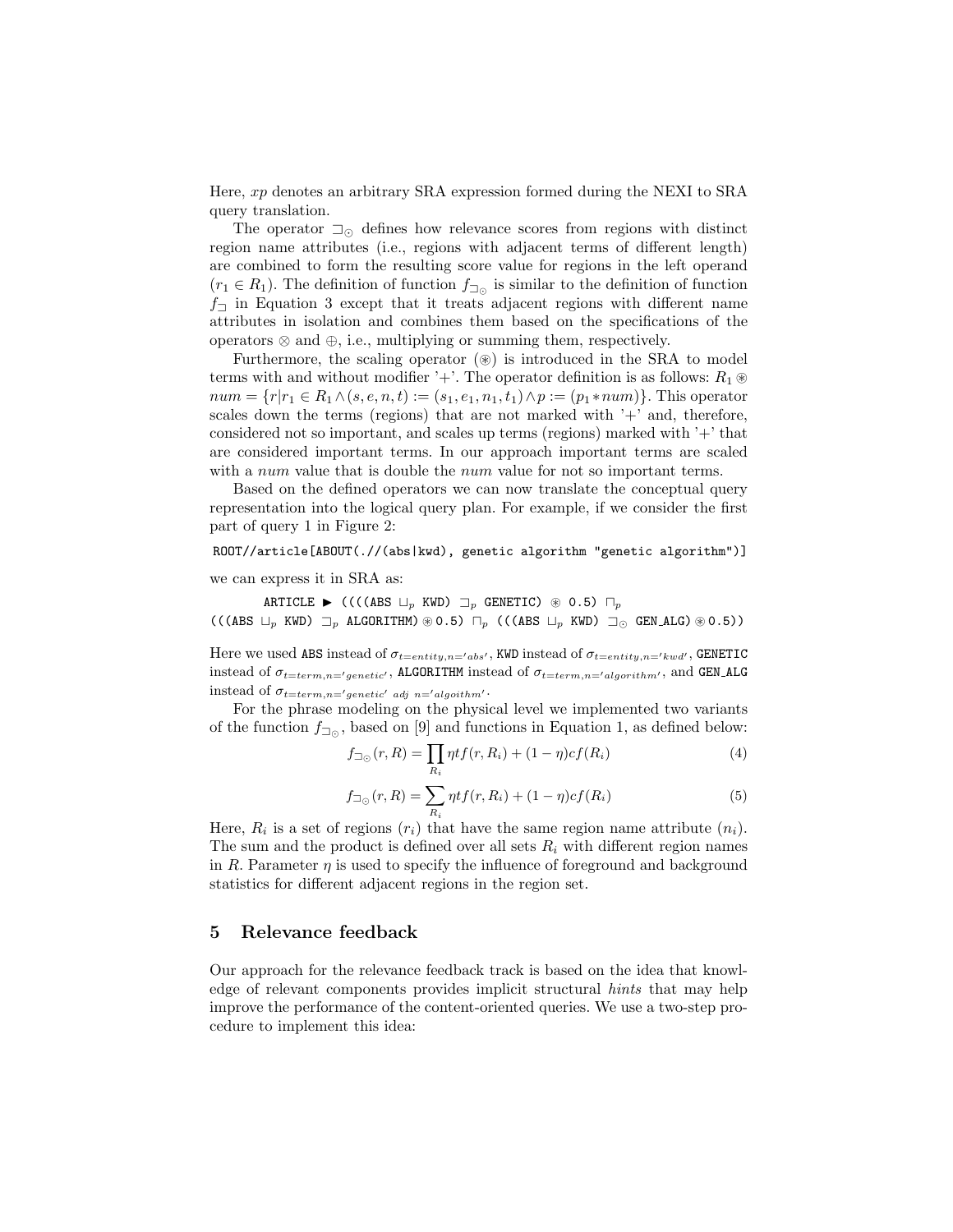Here, xp denotes an arbitrary SRA expression formed during the NEXI to SRA query translation.

The operator  $\exists_{\odot}$  defines how relevance scores from regions with distinct region name attributes (i.e., regions with adjacent terms of different length) are combined to form the resulting score value for regions in the left operand  $(r_1 \in R_1)$ . The definition of function  $f_{\Box}$  is similar to the definition of function  $f_{\Box}$  in Equation 3 except that it treats adjacent regions with different name attributes in isolation and combines them based on the specifications of the operators  $\otimes$  and  $\oplus$ , i.e., multiplying or summing them, respectively.

Furthermore, the scaling operator  $(\circledast)$  is introduced in the SRA to model terms with and without modifier '+'. The operator definition is as follows:  $R_1 \otimes$  $num = \{r|r_1 \in R_1 \land (s, e, n, t) := (s_1, e_1, n_1, t_1) \land p := (p_1 * num)\}.$  This operator scales down the terms (regions) that are not marked with  $'+$  and, therefore, considered not so important, and scales up terms (regions) marked with '+' that are considered important terms. In our approach important terms are scaled with a *num* value that is double the *num* value for not so important terms.

Based on the defined operators we can now translate the conceptual query representation into the logical query plan. For example, if we consider the first part of query 1 in Figure 2:

### ROOT//article[ABOUT(.//(abs|kwd), genetic algorithm "genetic algorithm")]

we can express it in SRA as:

ARTICLE  $\blacktriangleright$  ((((ABS  $\sqcup_p$  KWD)  $\sqsupset_p$  GENETIC)  $\circledast$  0.5)  $\sqcap_p$ (((ABS  $\Box_p$  KWD)  $\Box_p$  ALGORITHM)  $\otimes$  0.5)  $\Box_p$  (((ABS  $\Box_p$  KWD)  $\Box_{\odot}$  GEN ALG)  $\otimes$  0.5))

Here we used ABS instead of  $\sigma_{t=entity,n='abs'}$ , KWD instead of  $\sigma_{t=entity,n='kwd'}$ , GENETIC instead of  $\sigma_{t=term,n='genetic'}$ , ALGORITHM instead of  $\sigma_{t=term,n='algorithm'}$ , and GEN\_ALG instead of  $\sigma_{t=term,n='genetic' adj}$   $_{n='algorithm'}$ .

For the phrase modeling on the physical level we implemented two variants of the function  $f_{\Box}$ , based on [9] and functions in Equation 1, as defined below:

$$
f_{\Box\odot}(r,R) = \prod_{R_i} \eta t f(r, R_i) + (1-\eta) c f(R_i)
$$
 (4)

$$
f_{\Box\odot}(r,R) = \sum_{R_i} \eta t f(r,R_i) + (1-\eta) c f(R_i)
$$
 (5)

Here,  $R_i$  is a set of regions  $(r_i)$  that have the same region name attribute  $(n_i)$ . The sum and the product is defined over all sets  $R_i$  with different region names in R. Parameter  $\eta$  is used to specify the influence of foreground and background statistics for different adjacent regions in the region set.

# 5 Relevance feedback

Our approach for the relevance feedback track is based on the idea that knowledge of relevant components provides implicit structural hints that may help improve the performance of the content-oriented queries. We use a two-step procedure to implement this idea: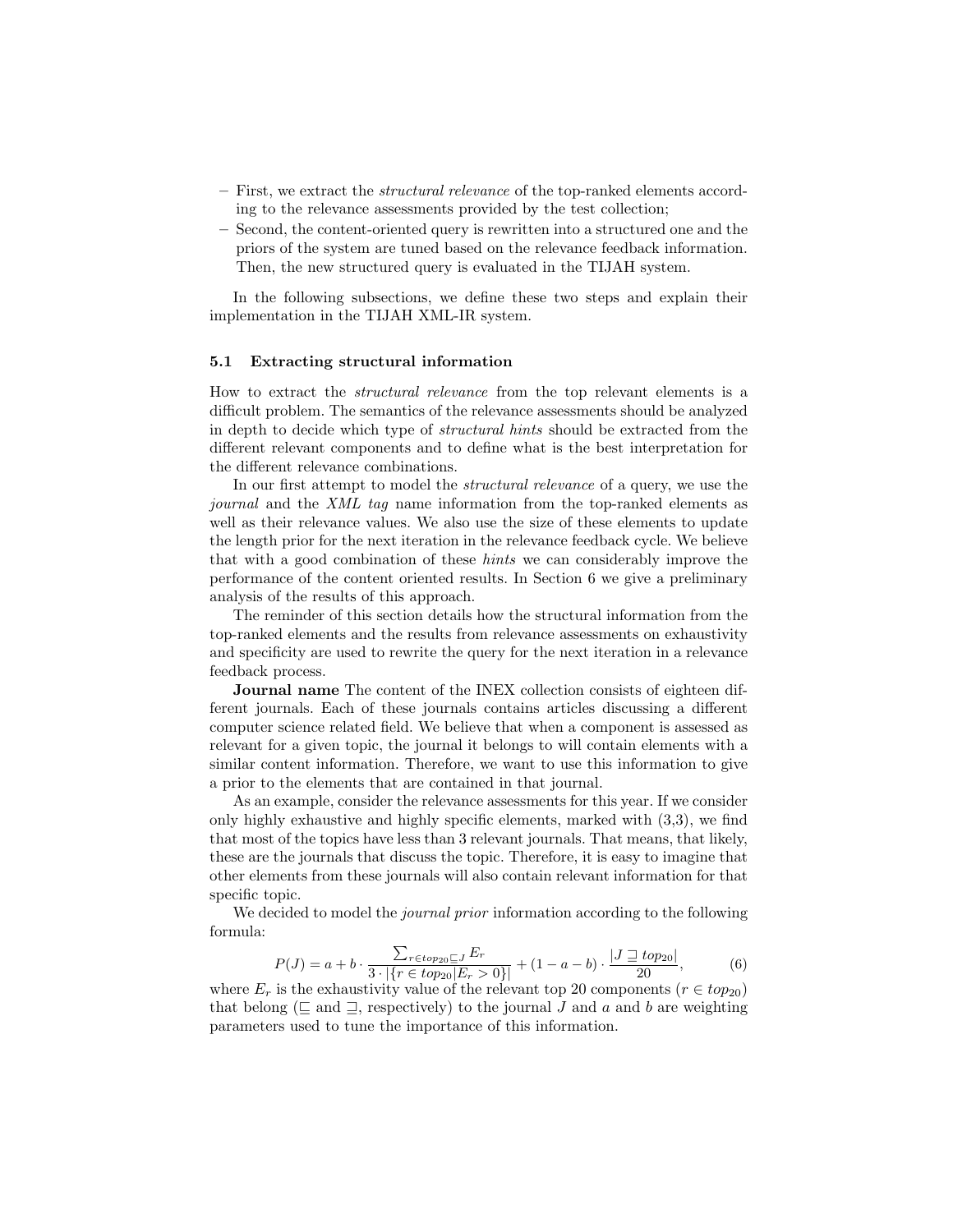- First, we extract the structural relevance of the top-ranked elements according to the relevance assessments provided by the test collection;
- Second, the content-oriented query is rewritten into a structured one and the priors of the system are tuned based on the relevance feedback information. Then, the new structured query is evaluated in the TIJAH system.

In the following subsections, we define these two steps and explain their implementation in the TIJAH XML-IR system.

#### 5.1 Extracting structural information

How to extract the structural relevance from the top relevant elements is a difficult problem. The semantics of the relevance assessments should be analyzed in depth to decide which type of structural hints should be extracted from the different relevant components and to define what is the best interpretation for the different relevance combinations.

In our first attempt to model the structural relevance of a query, we use the journal and the XML tag name information from the top-ranked elements as well as their relevance values. We also use the size of these elements to update the length prior for the next iteration in the relevance feedback cycle. We believe that with a good combination of these hints we can considerably improve the performance of the content oriented results. In Section 6 we give a preliminary analysis of the results of this approach.

The reminder of this section details how the structural information from the top-ranked elements and the results from relevance assessments on exhaustivity and specificity are used to rewrite the query for the next iteration in a relevance feedback process.

Journal name The content of the INEX collection consists of eighteen different journals. Each of these journals contains articles discussing a different computer science related field. We believe that when a component is assessed as relevant for a given topic, the journal it belongs to will contain elements with a similar content information. Therefore, we want to use this information to give a prior to the elements that are contained in that journal.

As an example, consider the relevance assessments for this year. If we consider only highly exhaustive and highly specific elements, marked with (3,3), we find that most of the topics have less than 3 relevant journals. That means, that likely, these are the journals that discuss the topic. Therefore, it is easy to imagine that other elements from these journals will also contain relevant information for that specific topic.

We decided to model the *journal prior* information according to the following formula:

$$
P(J) = a + b \cdot \frac{\sum_{r \in top_{20} \sqsubseteq J} E_r}{3 \cdot |\{r \in top_{20} | E_r > 0\}|} + (1 - a - b) \cdot \frac{|J \sqsupseteq top_{20}|}{20},\tag{6}
$$

where  $E_r$  is the exhaustivity value of the relevant top 20 components ( $r \in top_{20}$ ) that belong ( $\sqsubseteq$  and  $\sqsupseteq$ , respectively) to the journal J and a and b are weighting parameters used to tune the importance of this information.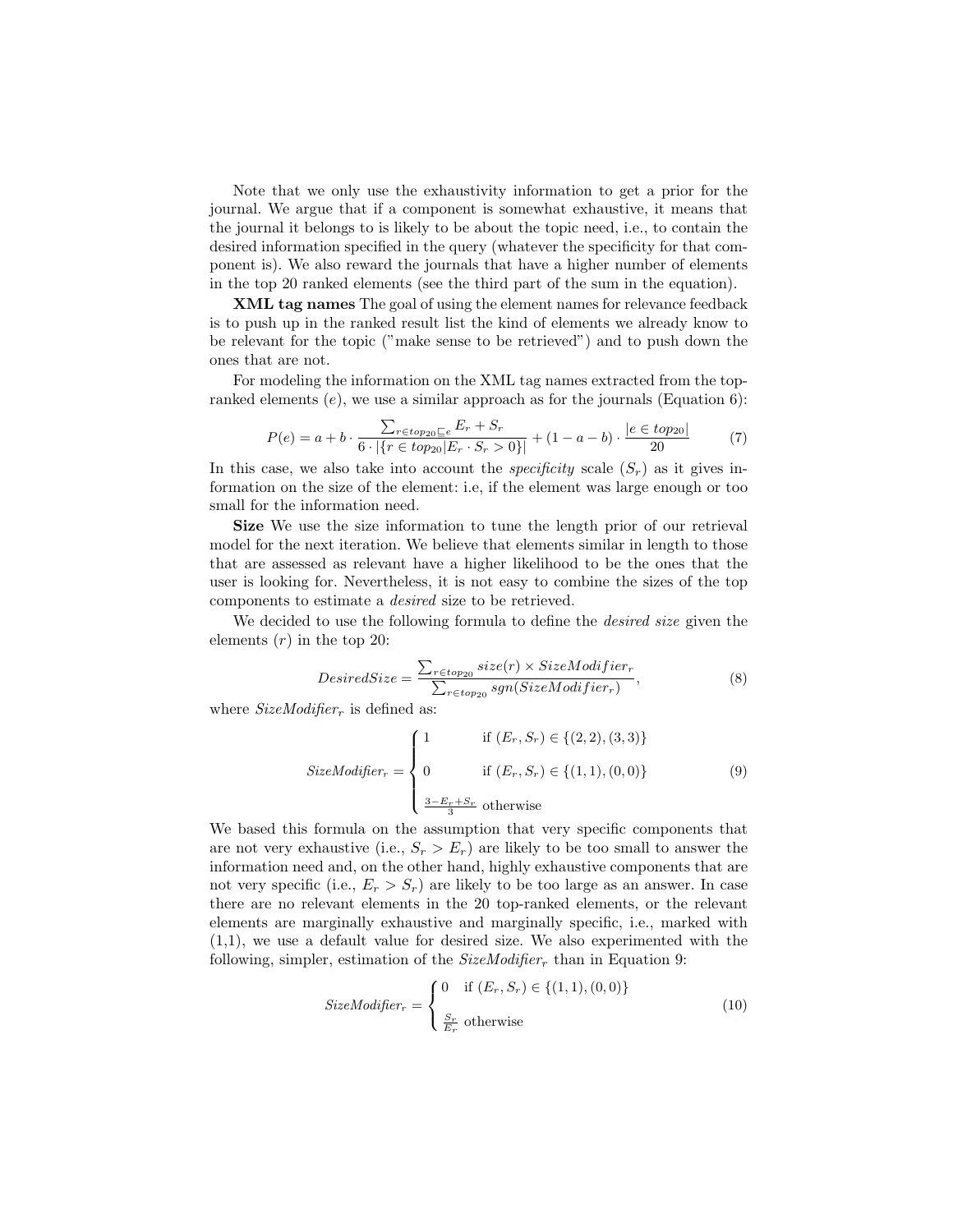Note that we only use the exhaustivity information to get a prior for the journal. We argue that if a component is somewhat exhaustive, it means that the journal it belongs to is likely to be about the topic need, i.e., to contain the desired information specified in the query (whatever the specificity for that component is). We also reward the journals that have a higher number of elements in the top 20 ranked elements (see the third part of the sum in the equation).

XML tag names The goal of using the element names for relevance feedback is to push up in the ranked result list the kind of elements we already know to be relevant for the topic ("make sense to be retrieved") and to push down the ones that are not.

For modeling the information on the XML tag names extracted from the topranked elements  $(e)$ , we use a similar approach as for the journals (Equation 6):

$$
P(e) = a + b \cdot \frac{\sum_{r \in top_{20} \sqsubseteq e} E_r + S_r}{6 \cdot |\{r \in top_{20} | E_r \cdot S_r > 0\}|} + (1 - a - b) \cdot \frac{|e \in top_{20}|}{20} \tag{7}
$$

In this case, we also take into account the *specificity* scale  $(S_r)$  as it gives information on the size of the element: i.e, if the element was large enough or too small for the information need.

Size We use the size information to tune the length prior of our retrieval model for the next iteration. We believe that elements similar in length to those that are assessed as relevant have a higher likelihood to be the ones that the user is looking for. Nevertheless, it is not easy to combine the sizes of the top components to estimate a desired size to be retrieved.

We decided to use the following formula to define the *desired size* given the elements  $(r)$  in the top 20:

$$
DesiredSize = \frac{\sum_{r \in top_{20}} size(r) \times SizeModification_r}{\sum_{r \in top_{20}} sgn(SizeModification_r)},
$$
\n(8)

where  $SizeModification_r$  is defined as:

$$
SizeModification_{r} = \begin{cases} 1 & \text{if } (E_r, S_r) \in \{ (2, 2), (3, 3) \} \\ 0 & \text{if } (E_r, S_r) \in \{ (1, 1), (0, 0) \} \\ \frac{3 - E_r + S_r}{3} & \text{otherwise} \end{cases}
$$
(9)

We based this formula on the assumption that very specific components that are not very exhaustive (i.e.,  $S_r > E_r$ ) are likely to be too small to answer the information need and, on the other hand, highly exhaustive components that are not very specific (i.e.,  $E_r > S_r$ ) are likely to be too large as an answer. In case there are no relevant elements in the 20 top-ranked elements, or the relevant elements are marginally exhaustive and marginally specific, i.e., marked with (1,1), we use a default value for desired size. We also experimented with the following, simpler, estimation of the  $SizeModification$  than in Equation 9:

$$
SizeModification_r = \begin{cases} 0 & \text{if } (E_r, S_r) \in \{ (1, 1), (0, 0) \} \\ \frac{S_r}{E_r} & \text{otherwise} \end{cases}
$$
(10)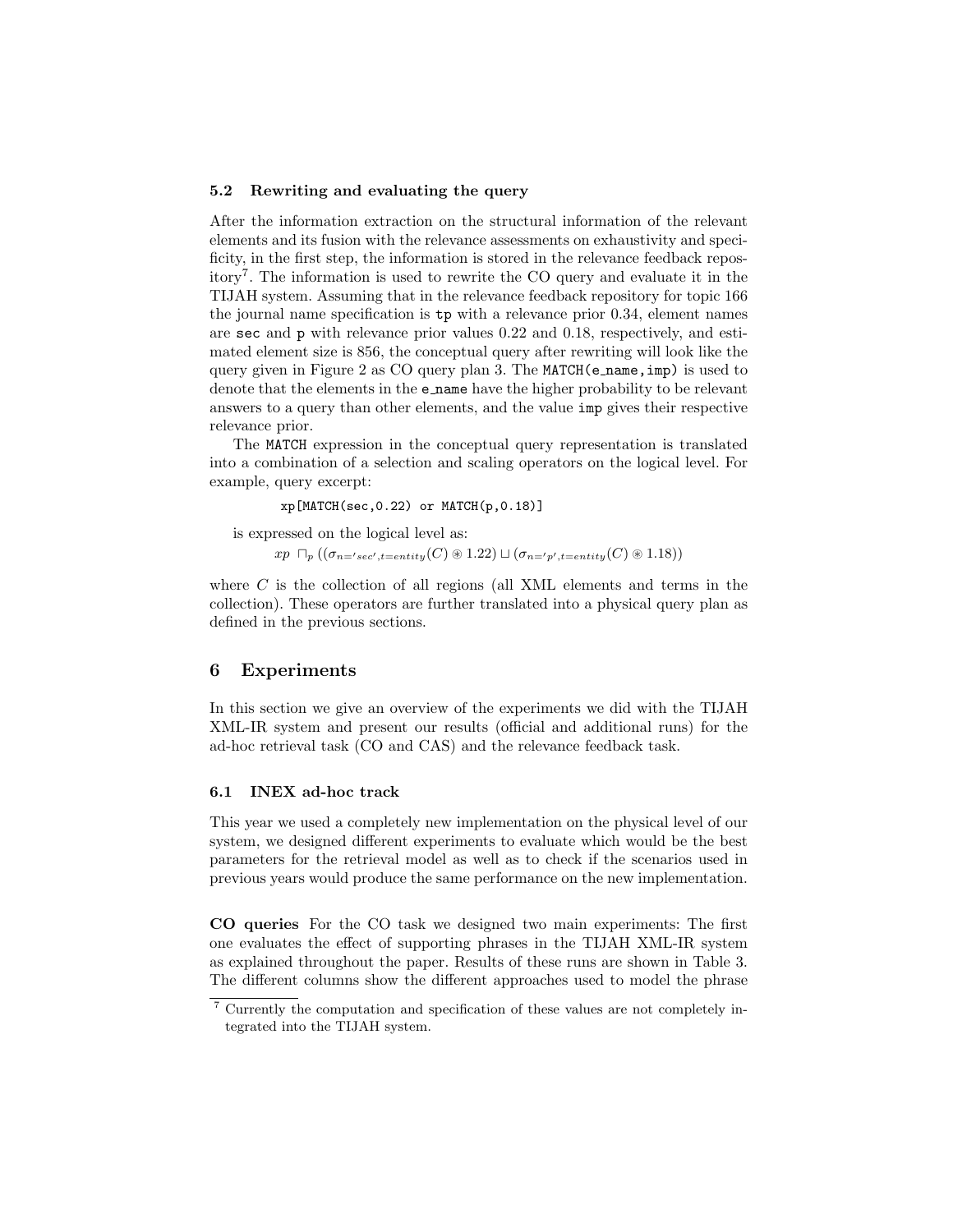#### 5.2 Rewriting and evaluating the query

After the information extraction on the structural information of the relevant elements and its fusion with the relevance assessments on exhaustivity and specificity, in the first step, the information is stored in the relevance feedback repository<sup>7</sup> . The information is used to rewrite the CO query and evaluate it in the TIJAH system. Assuming that in the relevance feedback repository for topic 166 the journal name specification is tp with a relevance prior 0.34, element names are sec and p with relevance prior values 0.22 and 0.18, respectively, and estimated element size is 856, the conceptual query after rewriting will look like the query given in Figure 2 as CO query plan 3. The MATCH(e\_name,imp) is used to denote that the elements in the **e** name have the higher probability to be relevant answers to a query than other elements, and the value imp gives their respective relevance prior.

The MATCH expression in the conceptual query representation is translated into a combination of a selection and scaling operators on the logical level. For example, query excerpt:

xp[MATCH(sec,0.22) or MATCH(p,0.18)]

is expressed on the logical level as:

 $xp \ \sqcap_p ((\sigma_{n='sec',t=entity}(C) \otimes 1.22) \sqcup (\sigma_{n='p',t=entity}(C) \otimes 1.18))$ 

where  $C$  is the collection of all regions (all XML elements and terms in the collection). These operators are further translated into a physical query plan as defined in the previous sections.

### 6 Experiments

In this section we give an overview of the experiments we did with the TIJAH XML-IR system and present our results (official and additional runs) for the ad-hoc retrieval task (CO and CAS) and the relevance feedback task.

#### 6.1 INEX ad-hoc track

This year we used a completely new implementation on the physical level of our system, we designed different experiments to evaluate which would be the best parameters for the retrieval model as well as to check if the scenarios used in previous years would produce the same performance on the new implementation.

CO queries For the CO task we designed two main experiments: The first one evaluates the effect of supporting phrases in the TIJAH XML-IR system as explained throughout the paper. Results of these runs are shown in Table 3. The different columns show the different approaches used to model the phrase

<sup>7</sup> Currently the computation and specification of these values are not completely integrated into the TIJAH system.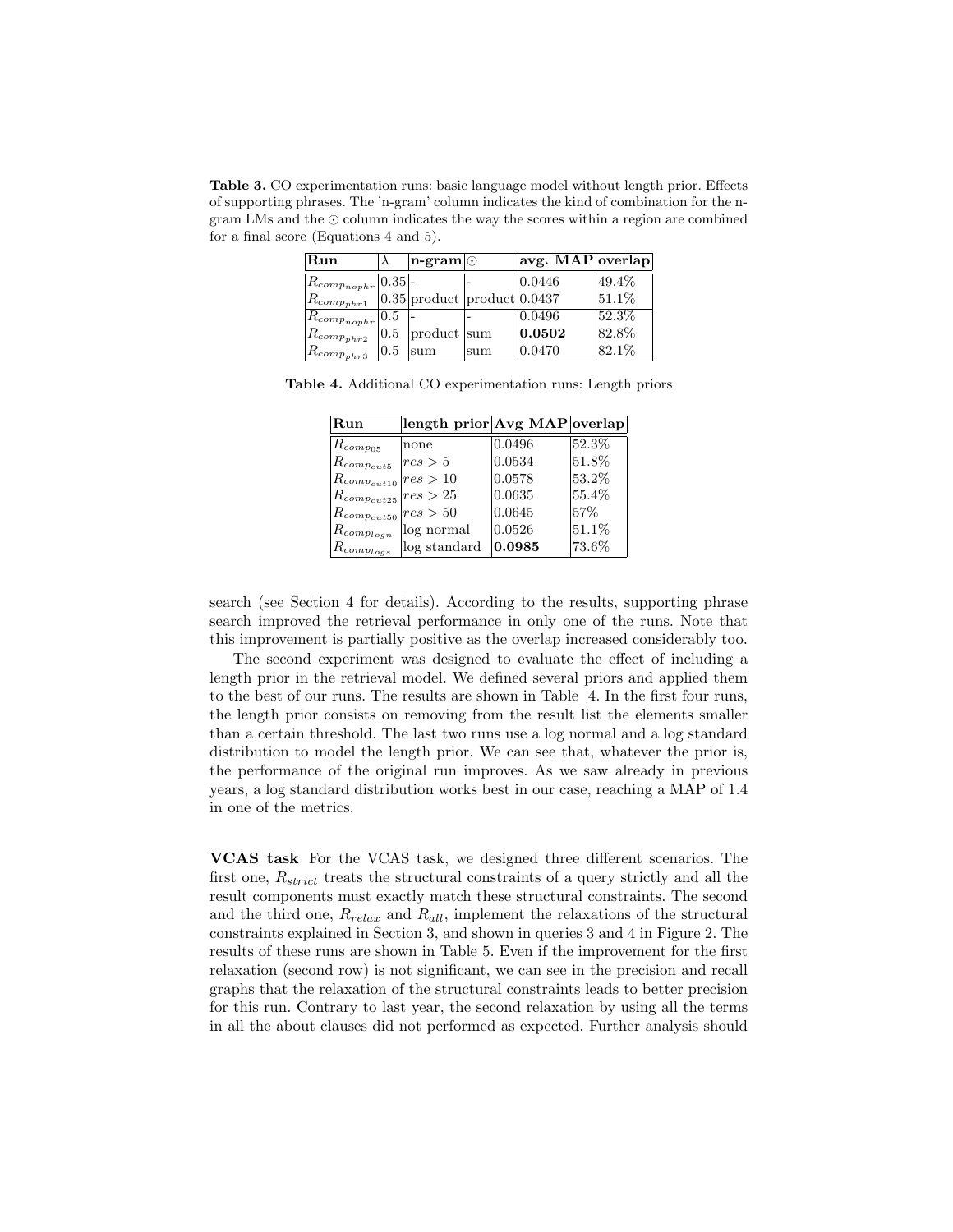Table 3. CO experimentation runs: basic language model without length prior. Effects of supporting phrases. The 'n-gram' column indicates the kind of combination for the ngram LMs and the  $\odot$  column indicates the way the scores within a region are combined for a final score (Equations 4 and 5).

| Run                        |            | $ n\text{-}\mathrm{gram} \odot$    |     | $ avg. \text{ MAP} overlap $ |        |
|----------------------------|------------|------------------------------------|-----|------------------------------|--------|
| $ R_{comp_{nophr}} $       | $ 0.35 $ - |                                    |     | 0.0446                       | 49.4\% |
| $ R_{comp_{phr1}}$         |            | $ 0.35 $ product $ product 0.0437$ |     |                              | 51.1%  |
| $ R_{comp_{nophr}} $       | 0.5        |                                    |     | 0.0496                       | 52.3%  |
| $ R_{comp_{phr2}}$         | $0.5\,$    | product sum                        |     | 0.0502                       | 82.8%  |
| $\mathbb{R}_{comp_{phys}}$ | 0.5        |                                    | sum | 0.0470                       | 82.1%  |

Table 4. Additional CO experimentation runs: Length priors

| Run                          | length prior Avg MAP overlap |        |          |
|------------------------------|------------------------------|--------|----------|
| $\vert R_{comp_{05}}\vert$   | none                         | 0.0496 | 52.3%    |
| $ R_{comp_{cut5}}$           | res > 5                      | 0.0534 | 51.8%    |
| $ R_{comp_{cut10}} res > 10$ |                              | 0.0578 | 53.2%    |
| $ R_{comp_{cut25}} res > 25$ |                              | 0.0635 | 55.4\%   |
| $ R_{comp_{cut50}} res > 50$ |                              | 0.0645 | 57%      |
| $ R_{comp_{logn}}$           | log normal                   | 0.0526 | $51.1\%$ |
| $ R_{comploss}$              | log standard                 | 0.0985 | 73.6%    |

search (see Section 4 for details). According to the results, supporting phrase search improved the retrieval performance in only one of the runs. Note that this improvement is partially positive as the overlap increased considerably too.

The second experiment was designed to evaluate the effect of including a length prior in the retrieval model. We defined several priors and applied them to the best of our runs. The results are shown in Table 4. In the first four runs, the length prior consists on removing from the result list the elements smaller than a certain threshold. The last two runs use a log normal and a log standard distribution to model the length prior. We can see that, whatever the prior is, the performance of the original run improves. As we saw already in previous years, a log standard distribution works best in our case, reaching a MAP of 1.4 in one of the metrics.

VCAS task For the VCAS task, we designed three different scenarios. The first one,  $R_{strict}$  treats the structural constraints of a query strictly and all the result components must exactly match these structural constraints. The second and the third one,  $R_{relax}$  and  $R_{all}$ , implement the relaxations of the structural constraints explained in Section 3, and shown in queries 3 and 4 in Figure 2. The results of these runs are shown in Table 5. Even if the improvement for the first relaxation (second row) is not significant, we can see in the precision and recall graphs that the relaxation of the structural constraints leads to better precision for this run. Contrary to last year, the second relaxation by using all the terms in all the about clauses did not performed as expected. Further analysis should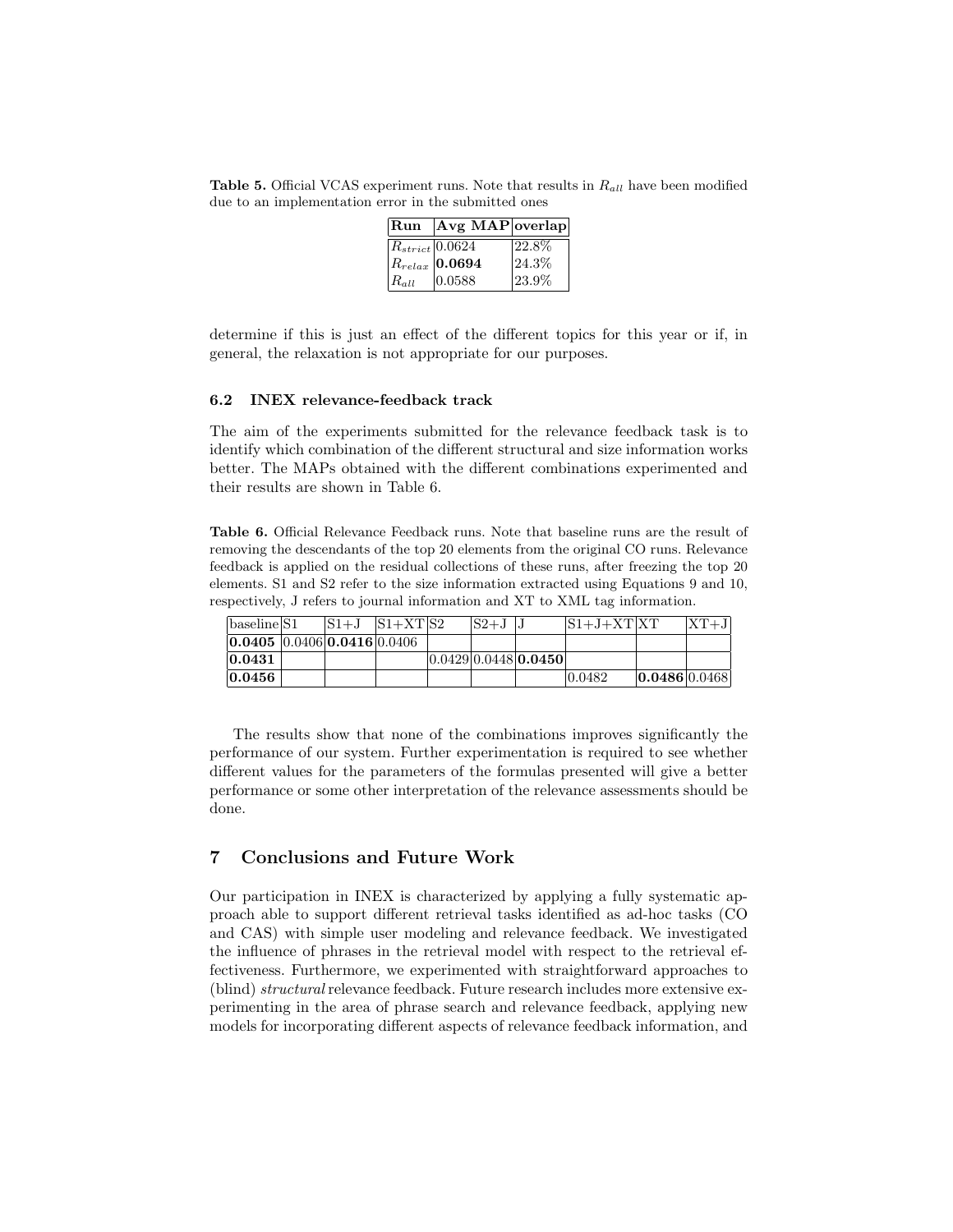**Table 5.** Official VCAS experiment runs. Note that results in  $R_{all}$  have been modified due to an implementation error in the submitted ones

|                      | Run   Avg MAP   overlap         |           |
|----------------------|---------------------------------|-----------|
| $ R_{strict} 0.0624$ |                                 | $122.8\%$ |
|                      | $ R_{relax}\left 0.0694\right.$ | $ 24.3\%$ |
| $R_{all}$            | 0.0588                          | 23.9%     |

determine if this is just an effect of the different topics for this year or if, in general, the relaxation is not appropriate for our purposes.

#### 6.2 INEX relevance-feedback track

The aim of the experiments submitted for the relevance feedback task is to identify which combination of the different structural and size information works better. The MAPs obtained with the different combinations experimented and their results are shown in Table 6.

Table 6. Official Relevance Feedback runs. Note that baseline runs are the result of removing the descendants of the top 20 elements from the original CO runs. Relevance feedback is applied on the residual collections of these runs, after freezing the top 20 elements. S1 and S2 refer to the size information extracted using Equations 9 and 10, respectively, J refers to journal information and XT to XML tag information.

| $ $ baseline $ S1 $         | $S1+J$ | lS1+XTlS2 | $IS2+J$ |                                 | $ S1+J+XT XT $ |               | $+J$ |
|-----------------------------|--------|-----------|---------|---------------------------------|----------------|---------------|------|
| 0.0405 0.0406 0.0416 0.0406 |        |           |         |                                 |                |               |      |
| 0.0431                      |        |           |         | $[0.0429]0.0448]$ <b>0.0450</b> |                |               |      |
| 0.0456                      |        |           |         |                                 | 0.0482         | 0.0486 0.0468 |      |

The results show that none of the combinations improves significantly the performance of our system. Further experimentation is required to see whether different values for the parameters of the formulas presented will give a better performance or some other interpretation of the relevance assessments should be done.

# 7 Conclusions and Future Work

Our participation in INEX is characterized by applying a fully systematic approach able to support different retrieval tasks identified as ad-hoc tasks (CO and CAS) with simple user modeling and relevance feedback. We investigated the influence of phrases in the retrieval model with respect to the retrieval effectiveness. Furthermore, we experimented with straightforward approaches to (blind) structural relevance feedback. Future research includes more extensive experimenting in the area of phrase search and relevance feedback, applying new models for incorporating different aspects of relevance feedback information, and